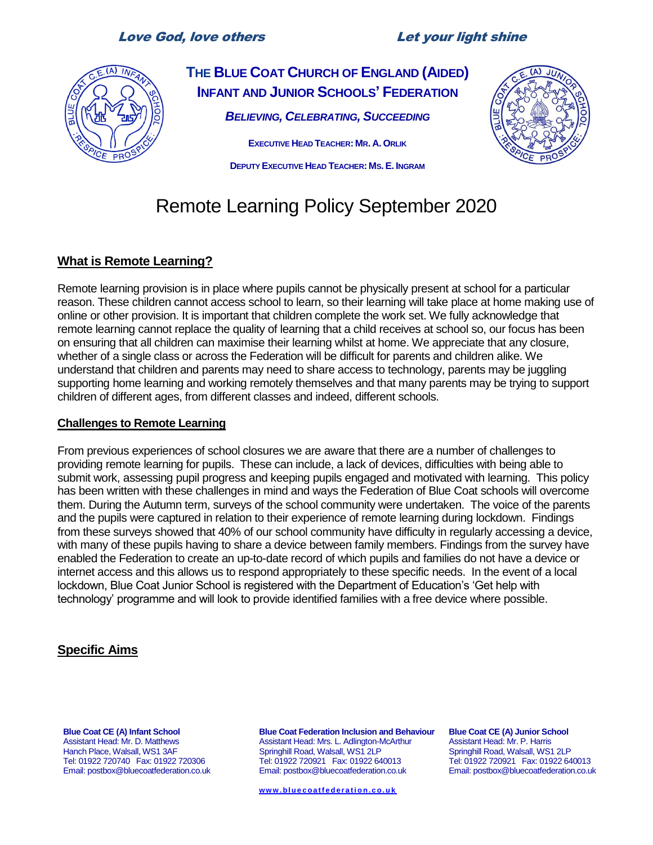# Love God, love others Let your light shine



**THE BLUE COAT CHURCH OF ENGLAND (AIDED) INFANT AND JUNIOR SCHOOLS' FEDERATION** *BELIEVING, CELEBRATING, SUCCEEDING*

> **EXECUTIVE HEAD TEACHER: MR. A. ORLIK DEPUTY EXECUTIVE HEAD TEACHER: MS.E. INGRAM**



# Remote Learning Policy September 2020

# **What is Remote Learning?**

Remote learning provision is in place where pupils cannot be physically present at school for a particular reason. These children cannot access school to learn, so their learning will take place at home making use of online or other provision. It is important that children complete the work set. We fully acknowledge that remote learning cannot replace the quality of learning that a child receives at school so, our focus has been on ensuring that all children can maximise their learning whilst at home. We appreciate that any closure, whether of a single class or across the Federation will be difficult for parents and children alike. We understand that children and parents may need to share access to technology, parents may be juggling supporting home learning and working remotely themselves and that many parents may be trying to support children of different ages, from different classes and indeed, different schools.

#### **Challenges to Remote Learning**

From previous experiences of school closures we are aware that there are a number of challenges to providing remote learning for pupils. These can include, a lack of devices, difficulties with being able to submit work, assessing pupil progress and keeping pupils engaged and motivated with learning. This policy has been written with these challenges in mind and ways the Federation of Blue Coat schools will overcome them. During the Autumn term, surveys of the school community were undertaken. The voice of the parents and the pupils were captured in relation to their experience of remote learning during lockdown. Findings from these surveys showed that 40% of our school community have difficulty in regularly accessing a device, with many of these pupils having to share a device between family members. Findings from the survey have enabled the Federation to create an up-to-date record of which pupils and families do not have a device or internet access and this allows us to respond appropriately to these specific needs. In the event of a local lockdown, Blue Coat Junior School is registered with the Department of Education's 'Get help with technology' programme and will look to provide identified families with a free device where possible.

# **Specific Aims**

**Blue Coat CE (A) Infant School** Assistant Head: Mr. D. Matthews Hanch Place, Walsall, WS1 3AF Tel: 01922 720740 Fax: 01922 720306 Email: postbox@bluecoatfederation.co.uk **Blue Coat Federation Inclusion and Behaviour** Assistant Head: Mrs. L. Adlington-McArthur Springhill Road, Walsall, WS1 2LP Tel: 01922 720921 Fax: 01922 640013 Email: postbox@bluecoatfederation.co.uk

**[ww w . bl u e c oa t f e d er a t i o n. c o. u k](http://www.bluecoatfederation.co.uk/)**

**Blue Coat CE (A) Junior School** Assistant Head: Mr. P. Harris Springhill Road, Walsall, WS1 2LP Tel: 01922 720921 Fax: 01922 640013 Email: postbox@bluecoatfederation.co.uk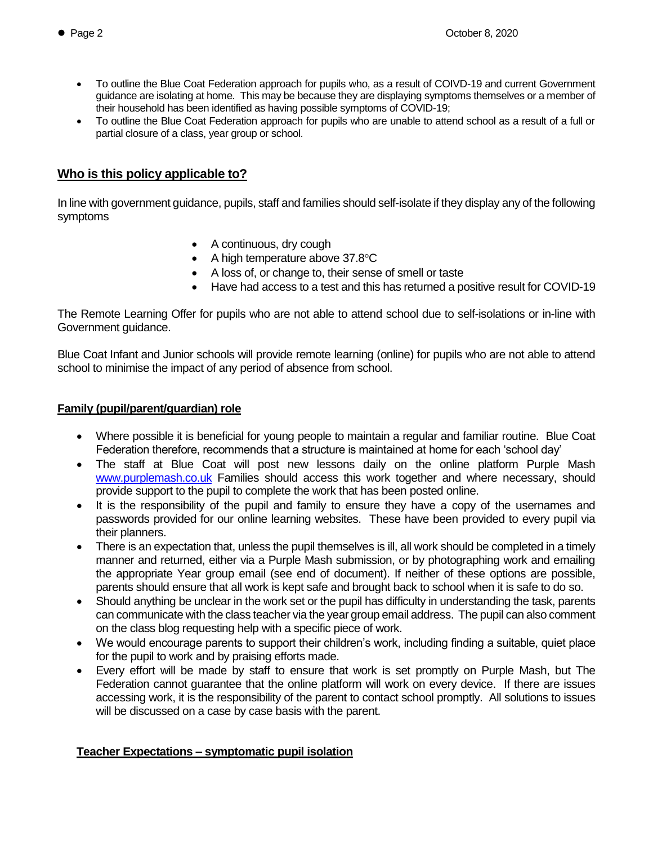- To outline the Blue Coat Federation approach for pupils who, as a result of COIVD-19 and current Government guidance are isolating at home. This may be because they are displaying symptoms themselves or a member of their household has been identified as having possible symptoms of COVID-19;
- To outline the Blue Coat Federation approach for pupils who are unable to attend school as a result of a full or partial closure of a class, year group or school.

## **Who is this policy applicable to?**

In line with government guidance, pupils, staff and families should self-isolate if they display any of the following symptoms

- A continuous, dry cough
- A high temperature above 37.8°C
- A loss of, or change to, their sense of smell or taste
- Have had access to a test and this has returned a positive result for COVID-19

The Remote Learning Offer for pupils who are not able to attend school due to self-isolations or in-line with Government guidance.

Blue Coat Infant and Junior schools will provide remote learning (online) for pupils who are not able to attend school to minimise the impact of any period of absence from school.

#### **Family (pupil/parent/guardian) role**

- Where possible it is beneficial for young people to maintain a regular and familiar routine. Blue Coat Federation therefore, recommends that a structure is maintained at home for each 'school day'
- The staff at Blue Coat will post new lessons daily on the online platform Purple Mash [www.purplemash.co.uk](http://www.purplemash.co.uk/) Families should access this work together and where necessary, should provide support to the pupil to complete the work that has been posted online.
- It is the responsibility of the pupil and family to ensure they have a copy of the usernames and passwords provided for our online learning websites. These have been provided to every pupil via their planners.
- There is an expectation that, unless the pupil themselves is ill, all work should be completed in a timely manner and returned, either via a Purple Mash submission, or by photographing work and emailing the appropriate Year group email (see end of document). If neither of these options are possible, parents should ensure that all work is kept safe and brought back to school when it is safe to do so.
- Should anything be unclear in the work set or the pupil has difficulty in understanding the task, parents can communicate with the class teacher via the year group email address. The pupil can also comment on the class blog requesting help with a specific piece of work.
- We would encourage parents to support their children's work, including finding a suitable, quiet place for the pupil to work and by praising efforts made.
- Every effort will be made by staff to ensure that work is set promptly on Purple Mash, but The Federation cannot guarantee that the online platform will work on every device. If there are issues accessing work, it is the responsibility of the parent to contact school promptly. All solutions to issues will be discussed on a case by case basis with the parent.

#### **Teacher Expectations – symptomatic pupil isolation**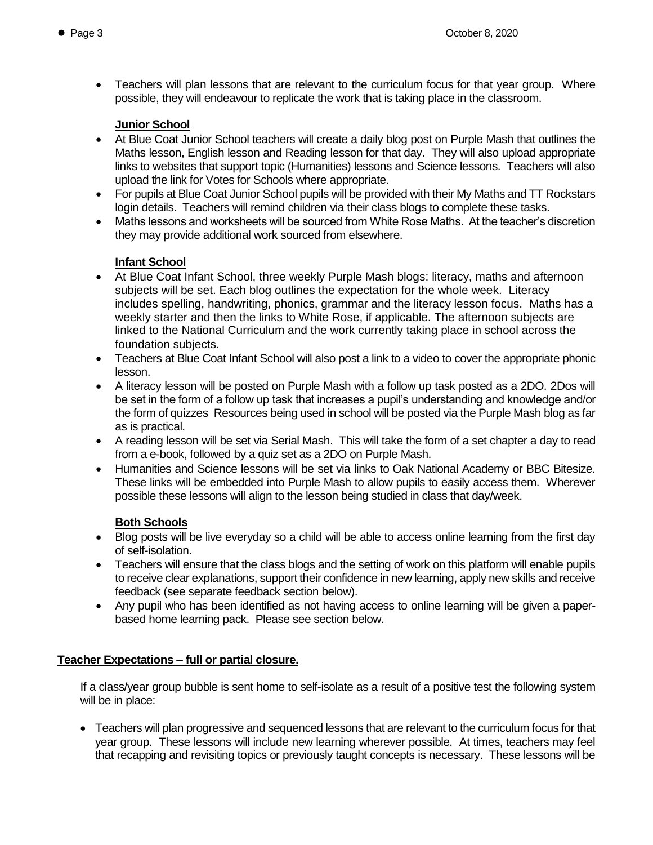• Teachers will plan lessons that are relevant to the curriculum focus for that year group. Where possible, they will endeavour to replicate the work that is taking place in the classroom.

#### **Junior School**

- At Blue Coat Junior School teachers will create a daily blog post on Purple Mash that outlines the Maths lesson, English lesson and Reading lesson for that day. They will also upload appropriate links to websites that support topic (Humanities) lessons and Science lessons. Teachers will also upload the link for Votes for Schools where appropriate.
- For pupils at Blue Coat Junior School pupils will be provided with their My Maths and TT Rockstars login details. Teachers will remind children via their class blogs to complete these tasks.
- Maths lessons and worksheets will be sourced from White Rose Maths. At the teacher's discretion they may provide additional work sourced from elsewhere.

# **Infant School**

- At Blue Coat Infant School, three weekly Purple Mash blogs: literacy, maths and afternoon subjects will be set. Each blog outlines the expectation for the whole week. Literacy includes spelling, handwriting, phonics, grammar and the literacy lesson focus. Maths has a weekly starter and then the links to White Rose, if applicable. The afternoon subjects are linked to the National Curriculum and the work currently taking place in school across the foundation subjects.
- Teachers at Blue Coat Infant School will also post a link to a video to cover the appropriate phonic lesson.
- A literacy lesson will be posted on Purple Mash with a follow up task posted as a 2DO. 2Dos will be set in the form of a follow up task that increases a pupil's understanding and knowledge and/or the form of quizzes Resources being used in school will be posted via the Purple Mash blog as far as is practical.
- A reading lesson will be set via Serial Mash. This will take the form of a set chapter a day to read from a e-book, followed by a quiz set as a 2DO on Purple Mash.
- Humanities and Science lessons will be set via links to Oak National Academy or BBC Bitesize. These links will be embedded into Purple Mash to allow pupils to easily access them. Wherever possible these lessons will align to the lesson being studied in class that day/week.

# **Both Schools**

- Blog posts will be live everyday so a child will be able to access online learning from the first day of self-isolation.
- Teachers will ensure that the class blogs and the setting of work on this platform will enable pupils to receive clear explanations, support their confidence in new learning, apply new skills and receive feedback (see separate feedback section below).
- Any pupil who has been identified as not having access to online learning will be given a paperbased home learning pack. Please see section below.

# **Teacher Expectations – full or partial closure.**

If a class/year group bubble is sent home to self-isolate as a result of a positive test the following system will be in place:

 Teachers will plan progressive and sequenced lessons that are relevant to the curriculum focus for that year group. These lessons will include new learning wherever possible. At times, teachers may feel that recapping and revisiting topics or previously taught concepts is necessary. These lessons will be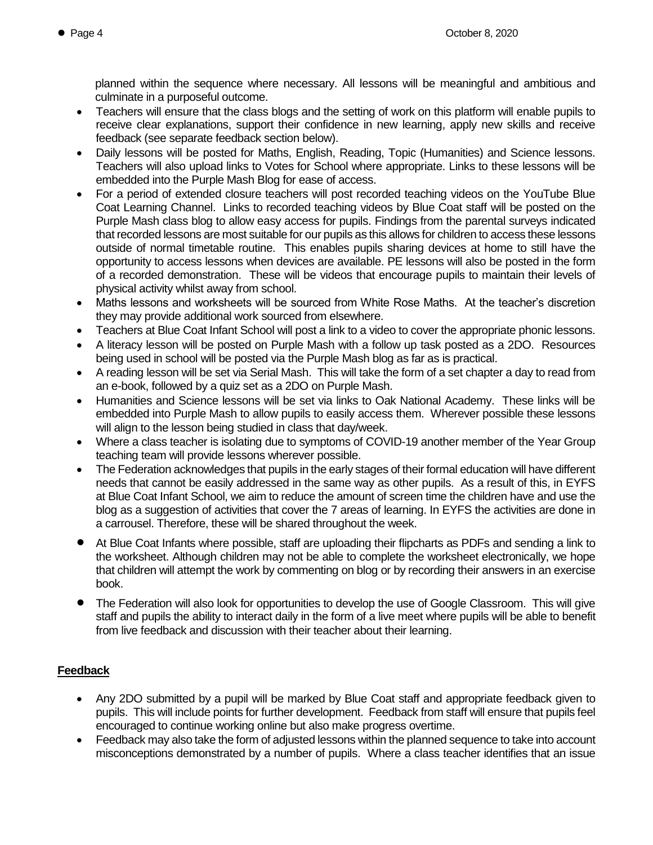planned within the sequence where necessary. All lessons will be meaningful and ambitious and culminate in a purposeful outcome.

- Teachers will ensure that the class blogs and the setting of work on this platform will enable pupils to receive clear explanations, support their confidence in new learning, apply new skills and receive feedback (see separate feedback section below).
- Daily lessons will be posted for Maths, English, Reading, Topic (Humanities) and Science lessons. Teachers will also upload links to Votes for School where appropriate. Links to these lessons will be embedded into the Purple Mash Blog for ease of access.
- For a period of extended closure teachers will post recorded teaching videos on the YouTube Blue Coat Learning Channel. Links to recorded teaching videos by Blue Coat staff will be posted on the Purple Mash class blog to allow easy access for pupils. Findings from the parental surveys indicated that recorded lessons are most suitable for our pupils as this allows for children to access these lessons outside of normal timetable routine. This enables pupils sharing devices at home to still have the opportunity to access lessons when devices are available. PE lessons will also be posted in the form of a recorded demonstration. These will be videos that encourage pupils to maintain their levels of physical activity whilst away from school.
- Maths lessons and worksheets will be sourced from White Rose Maths. At the teacher's discretion they may provide additional work sourced from elsewhere.
- Teachers at Blue Coat Infant School will post a link to a video to cover the appropriate phonic lessons.
- A literacy lesson will be posted on Purple Mash with a follow up task posted as a 2DO. Resources being used in school will be posted via the Purple Mash blog as far as is practical.
- A reading lesson will be set via Serial Mash. This will take the form of a set chapter a day to read from an e-book, followed by a quiz set as a 2DO on Purple Mash.
- Humanities and Science lessons will be set via links to Oak National Academy. These links will be embedded into Purple Mash to allow pupils to easily access them. Wherever possible these lessons will align to the lesson being studied in class that day/week.
- Where a class teacher is isolating due to symptoms of COVID-19 another member of the Year Group teaching team will provide lessons wherever possible.
- The Federation acknowledges that pupils in the early stages of their formal education will have different needs that cannot be easily addressed in the same way as other pupils. As a result of this, in EYFS at Blue Coat Infant School, we aim to reduce the amount of screen time the children have and use the blog as a suggestion of activities that cover the 7 areas of learning. In EYFS the activities are done in a carrousel. Therefore, these will be shared throughout the week.
- At Blue Coat Infants where possible, staff are uploading their flipcharts as PDFs and sending a link to the worksheet. Although children may not be able to complete the worksheet electronically, we hope that children will attempt the work by commenting on blog or by recording their answers in an exercise book.
- The Federation will also look for opportunities to develop the use of Google Classroom. This will give staff and pupils the ability to interact daily in the form of a live meet where pupils will be able to benefit from live feedback and discussion with their teacher about their learning.

# **Feedback**

- Any 2DO submitted by a pupil will be marked by Blue Coat staff and appropriate feedback given to pupils. This will include points for further development. Feedback from staff will ensure that pupils feel encouraged to continue working online but also make progress overtime.
- Feedback may also take the form of adjusted lessons within the planned sequence to take into account misconceptions demonstrated by a number of pupils. Where a class teacher identifies that an issue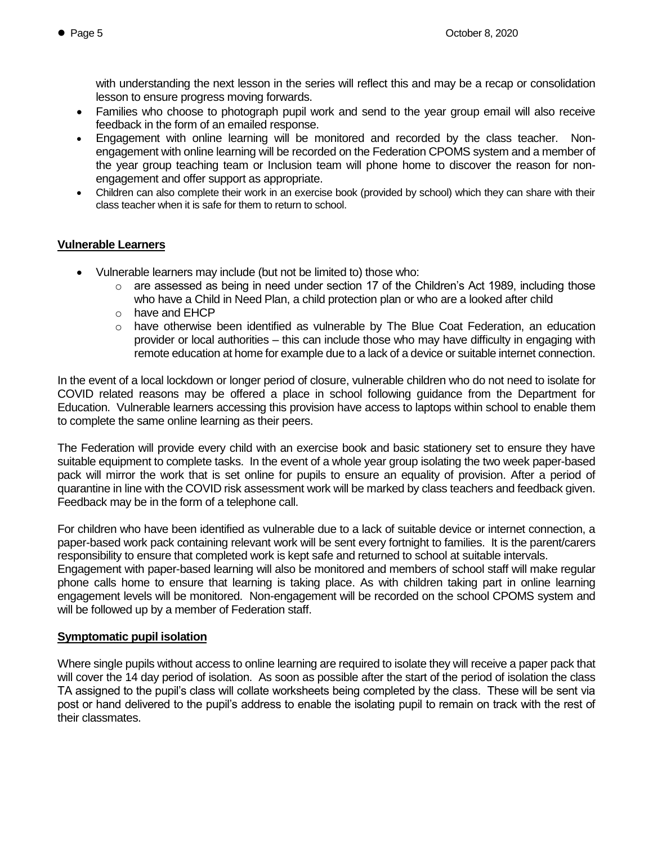with understanding the next lesson in the series will reflect this and may be a recap or consolidation lesson to ensure progress moving forwards.

- Families who choose to photograph pupil work and send to the year group email will also receive feedback in the form of an emailed response.
- Engagement with online learning will be monitored and recorded by the class teacher. Nonengagement with online learning will be recorded on the Federation CPOMS system and a member of the year group teaching team or Inclusion team will phone home to discover the reason for nonengagement and offer support as appropriate.
- Children can also complete their work in an exercise book (provided by school) which they can share with their class teacher when it is safe for them to return to school.

#### **Vulnerable Learners**

- Vulnerable learners may include (but not be limited to) those who:
	- $\circ$  are assessed as being in need under section 17 of the Children's Act 1989, including those who have a Child in Need Plan, a child protection plan or who are a looked after child
	- o have and EHCP
	- o have otherwise been identified as vulnerable by The Blue Coat Federation, an education provider or local authorities – this can include those who may have difficulty in engaging with remote education at home for example due to a lack of a device or suitable internet connection.

In the event of a local lockdown or longer period of closure, vulnerable children who do not need to isolate for COVID related reasons may be offered a place in school following guidance from the Department for Education. Vulnerable learners accessing this provision have access to laptops within school to enable them to complete the same online learning as their peers.

The Federation will provide every child with an exercise book and basic stationery set to ensure they have suitable equipment to complete tasks. In the event of a whole year group isolating the two week paper-based pack will mirror the work that is set online for pupils to ensure an equality of provision. After a period of quarantine in line with the COVID risk assessment work will be marked by class teachers and feedback given. Feedback may be in the form of a telephone call.

For children who have been identified as vulnerable due to a lack of suitable device or internet connection, a paper-based work pack containing relevant work will be sent every fortnight to families. It is the parent/carers responsibility to ensure that completed work is kept safe and returned to school at suitable intervals.

Engagement with paper-based learning will also be monitored and members of school staff will make regular phone calls home to ensure that learning is taking place. As with children taking part in online learning engagement levels will be monitored. Non-engagement will be recorded on the school CPOMS system and will be followed up by a member of Federation staff.

#### **Symptomatic pupil isolation**

Where single pupils without access to online learning are required to isolate they will receive a paper pack that will cover the 14 day period of isolation. As soon as possible after the start of the period of isolation the class TA assigned to the pupil's class will collate worksheets being completed by the class. These will be sent via post or hand delivered to the pupil's address to enable the isolating pupil to remain on track with the rest of their classmates.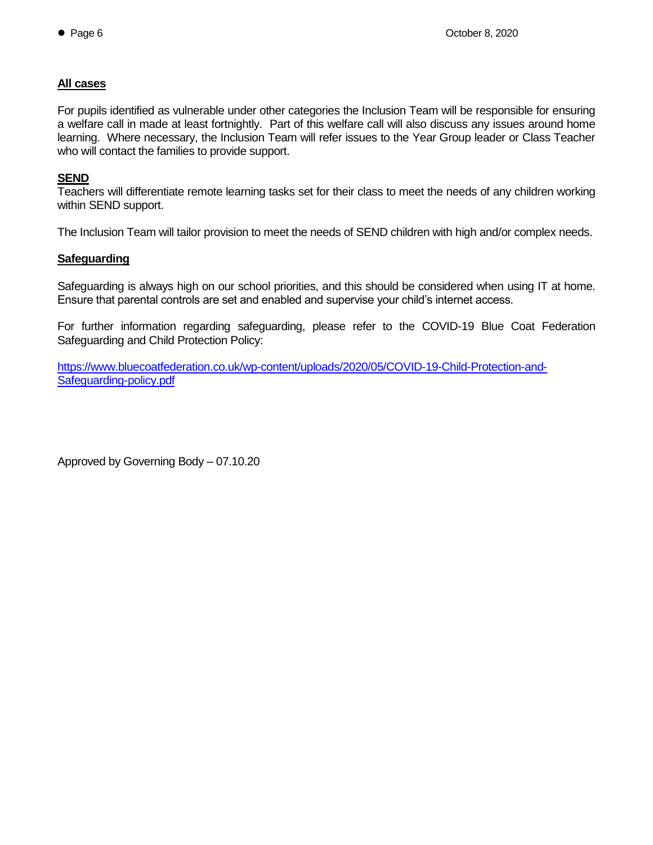#### **All cases**

For pupils identified as vulnerable under other categories the Inclusion Team will be responsible for ensuring a welfare call in made at least fortnightly. Part of this welfare call will also discuss any issues around home learning. Where necessary, the Inclusion Team will refer issues to the Year Group leader or Class Teacher who will contact the families to provide support.

#### **SEND**

Teachers will differentiate remote learning tasks set for their class to meet the needs of any children working within SEND support.

The Inclusion Team will tailor provision to meet the needs of SEND children with high and/or complex needs.

#### **Safeguarding**

Safeguarding is always high on our school priorities, and this should be considered when using IT at home. Ensure that parental controls are set and enabled and supervise your child's internet access.

For further information regarding safeguarding, please refer to the COVID-19 Blue Coat Federation Safeguarding and Child Protection Policy:

[https://www.bluecoatfederation.co.uk/wp-content/uploads/2020/05/COVID-19-Child-Protection-and-](https://www.bluecoatfederation.co.uk/wp-content/uploads/2020/05/COVID-19-Child-Protection-and-Safeguarding-policy.pdf)[Safeguarding-policy.pdf](https://www.bluecoatfederation.co.uk/wp-content/uploads/2020/05/COVID-19-Child-Protection-and-Safeguarding-policy.pdf)

Approved by Governing Body – 07.10.20